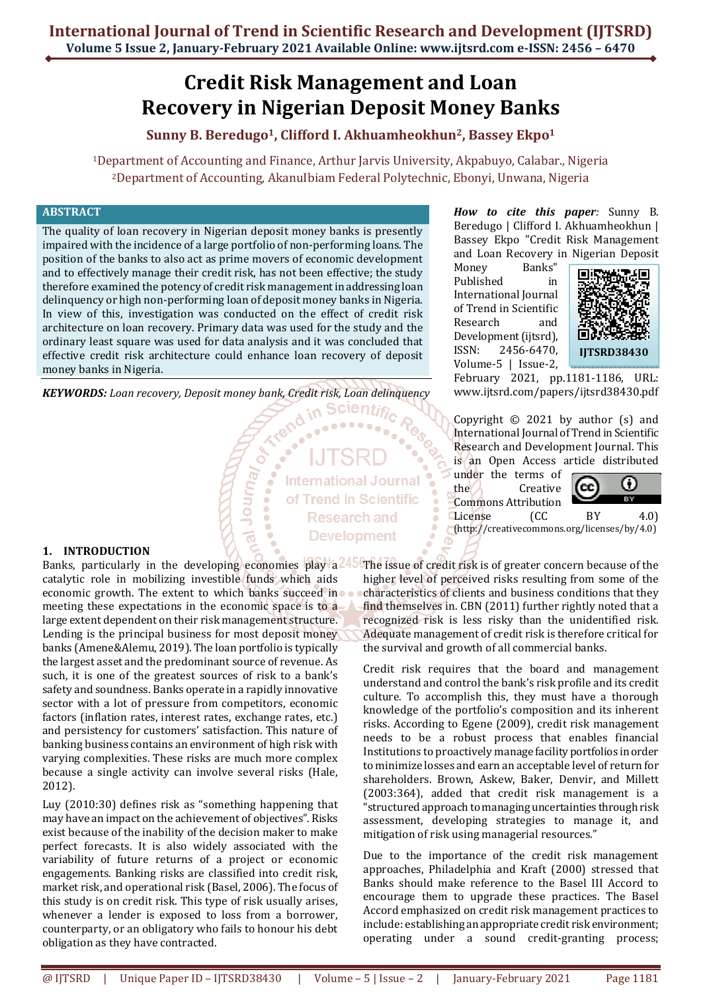# **Credit Risk Management and Loan Recovery in Nigerian Deposit Money Banks**

**Sunny B. Beredugo1, Clifford I. Akhuamheokhun2, Bassey Ekpo<sup>1</sup>**

<sup>1</sup>Department of Accounting and Finance, Arthur Jarvis University, Akpabuyo, Calabar., Nigeria <sup>2</sup>Department of Accounting, AkanuIbiam Federal Polytechnic, Ebonyi, Unwana, Nigeria

# **ABSTRACT**

The quality of loan recovery in Nigerian deposit money banks is presently impaired with the incidence of a large portfolio of non-performing loans. The position of the banks to also act as prime movers of economic development and to effectively manage their credit risk, has not been effective; the study therefore examined the potency of credit risk management in addressing loan delinquency or high non-performing loan of deposit money banks in Nigeria. In view of this, investigation was conducted on the effect of credit risk architecture on loan recovery. Primary data was used for the study and the ordinary least square was used for data analysis and it was concluded that effective credit risk architecture could enhance loan recovery of deposit money banks in Nigeria.

*KEYWORDS: Loan recovery, Deposit money bank, Credit risk, Loan delinquency* $\sim$  **<b>Scientific** 

Journ<sub>a</sub>

**International Journal** of Trend in Scientific **Research and Development** 

*How to cite this paper:* Sunny B. Beredugo | Clifford I. Akhuamheokhun | Bassey Ekpo "Credit Risk Management and Loan Recovery in Nigerian Deposit

Money Banks" Published in International Journal of Trend in Scientific Research and Development (ijtsrd), ISSN: 2456-6470, Volume-5 | Issue-2,



February 2021, pp.1181-1186, URL: www.ijtsrd.com/papers/ijtsrd38430.pdf

Copyright  $\odot$  2021 by author (s) and International Journal of Trend in Scientific Research and Development Journal. This is an Open Access article distributed

under the terms of the Creative Commons Attribution



#### License (CC BY 4.0) (http://creativecommons.org/licenses/by/4.0)

#### **1. INTRODUCTION**

catalytic role in mobilizing investible funds which aids economic growth. The extent to which banks succeed in meeting these expectations in the economic space is to a large extent dependent on their risk management structure. Lending is the principal business for most deposit money banks (Amene&Alemu, 2019). The loan portfolio is typically the largest asset and the predominant source of revenue. As such, it is one of the greatest sources of risk to a bank's safety and soundness. Banks operate in a rapidly innovative sector with a lot of pressure from competitors, economic factors (inflation rates, interest rates, exchange rates, etc.) and persistency for customers' satisfaction. This nature of banking business contains an environment of high risk with varying complexities. These risks are much more complex because a single activity can involve several risks (Hale, 2012).

Luy (2010:30) defines risk as "something happening that may have an impact on the achievement of objectives". Risks exist because of the inability of the decision maker to make perfect forecasts. It is also widely associated with the variability of future returns of a project or economic engagements. Banking risks are classified into credit risk, market risk, and operational risk (Basel, 2006). The focus of this study is on credit risk. This type of risk usually arises, whenever a lender is exposed to loss from a borrower, counterparty, or an obligatory who fails to honour his debt obligation as they have contracted.

Banks, particularly in the developing economies play a<sup>245</sup> The issue of credit risk is of greater concern because of the higher level of perceived risks resulting from some of the characteristics of clients and business conditions that they find themselves in. CBN (2011) further rightly noted that a recognized risk is less risky than the unidentified risk. Adequate management of credit risk is therefore critical for the survival and growth of all commercial banks.

> Credit risk requires that the board and management understand and control the bank's risk profile and its credit culture. To accomplish this, they must have a thorough knowledge of the portfolio's composition and its inherent risks. According to Egene (2009), credit risk management needs to be a robust process that enables financial Institutions to proactively manage facility portfolios in order to minimize losses and earn an acceptable level of return for shareholders. Brown, Askew, Baker, Denvir, and Millett (2003:364), added that credit risk management is a "structured approach to managing uncertainties through risk assessment, developing strategies to manage it, and mitigation of risk using managerial resources."

> Due to the importance of the credit risk management approaches, Philadelphia and Kraft (2000) stressed that Banks should make reference to the Basel III Accord to encourage them to upgrade these practices. The Basel Accord emphasized on credit risk management practices to include: establishing an appropriate credit risk environment; operating under a sound credit-granting process;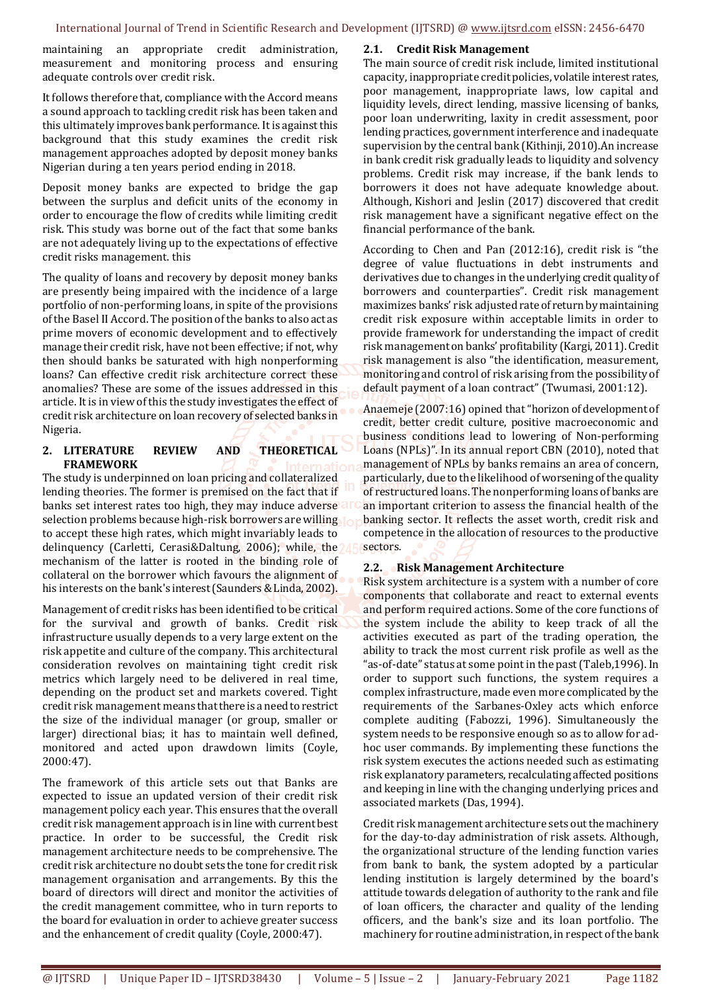maintaining an appropriate credit administration, measurement and monitoring process and ensuring adequate controls over credit risk.

It follows therefore that, compliance with the Accord means a sound approach to tackling credit risk has been taken and this ultimately improves bank performance. It is against this background that this study examines the credit risk management approaches adopted by deposit money banks Nigerian during a ten years period ending in 2018.

Deposit money banks are expected to bridge the gap between the surplus and deficit units of the economy in order to encourage the flow of credits while limiting credit risk. This study was borne out of the fact that some banks are not adequately living up to the expectations of effective credit risks management. this

The quality of loans and recovery by deposit money banks are presently being impaired with the incidence of a large portfolio of non-performing loans, in spite of the provisions of the Basel II Accord. The position of the banks to also act as prime movers of economic development and to effectively manage their credit risk, have not been effective; if not, why then should banks be saturated with high nonperforming loans? Can effective credit risk architecture correct these anomalies? These are some of the issues addressed in this article. It is in view of this the study investigates the effect of credit risk architecture on loan recovery of selected banks in Nigeria.

#### **2. LITERATURE REVIEW AND THEORETICAL FRAMEWORK**

The study is underpinned on loan pricing and collateralized lending theories. The former is premised on the fact that if banks set interest rates too high, they may induce adverse all selection problems because high-risk borrowers are willing to accept these high rates, which might invariably leads to delinquency (Carletti, Cerasi&Daltung, 2006); while, the mechanism of the latter is rooted in the binding role of collateral on the borrower which favours the alignment of his interests on the bank's interest (Saunders & Linda, 2002).

Management of credit risks has been identified to be critical for the survival and growth of banks. Credit risk infrastructure usually depends to a very large extent on the risk appetite and culture of the company. This architectural consideration revolves on maintaining tight credit risk metrics which largely need to be delivered in real time, depending on the product set and markets covered. Tight credit risk management means that there is a need to restrict the size of the individual manager (or group, smaller or larger) directional bias; it has to maintain well defined, monitored and acted upon drawdown limits (Coyle, 2000:47).

The framework of this article sets out that Banks are expected to issue an updated version of their credit risk management policy each year. This ensures that the overall credit risk management approach is in line with current best practice. In order to be successful, the Credit risk management architecture needs to be comprehensive. The credit risk architecture no doubt sets the tone for credit risk management organisation and arrangements. By this the board of directors will direct and monitor the activities of the credit management committee, who in turn reports to the board for evaluation in order to achieve greater success and the enhancement of credit quality (Coyle, 2000:47).

### **2.1. Credit Risk Management**

The main source of credit risk include, limited institutional capacity, inappropriate credit policies, volatile interest rates, poor management, inappropriate laws, low capital and liquidity levels, direct lending, massive licensing of banks, poor loan underwriting, laxity in credit assessment, poor lending practices, government interference and inadequate supervision by the central bank (Kithinji, 2010).An increase in bank credit risk gradually leads to liquidity and solvency problems. Credit risk may increase, if the bank lends to borrowers it does not have adequate knowledge about. Although, Kishori and Jeslin (2017) discovered that credit risk management have a significant negative effect on the financial performance of the bank.

According to Chen and Pan (2012:16), credit risk is "the degree of value fluctuations in debt instruments and derivatives due to changes in the underlying credit quality of borrowers and counterparties". Credit risk management maximizes banks' risk adjusted rate of return by maintaining credit risk exposure within acceptable limits in order to provide framework for understanding the impact of credit risk management on banks' profitability (Kargi, 2011). Credit risk management is also "the identification, measurement, monitoring and control of risk arising from the possibility of default payment of a loan contract" (Twumasi, 2001:12).

Anaemeje (2007:16) opined that "horizon of development of credit, better credit culture, positive macroeconomic and business conditions lead to lowering of Non-performing Loans (NPLs)". In its annual report CBN (2010), noted that management of NPLs by banks remains an area of concern, particularly, due to the likelihood of worsening of the quality of restructured loans. The nonperforming loans of banks are an important criterion to assess the financial health of the banking sector. It reflects the asset worth, credit risk and competence in the allocation of resources to the productive sectors.

# **2.2. Risk Management Architecture**

Risk system architecture is a system with a number of core components that collaborate and react to external events and perform required actions. Some of the core functions of the system include the ability to keep track of all the activities executed as part of the trading operation, the ability to track the most current risk profile as well as the "as-of-date" status at some point in the past (Taleb,1996). In order to support such functions, the system requires a complex infrastructure, made even more complicated by the requirements of the Sarbanes-Oxley acts which enforce complete auditing (Fabozzi, 1996). Simultaneously the system needs to be responsive enough so as to allow for adhoc user commands. By implementing these functions the risk system executes the actions needed such as estimating risk explanatory parameters, recalculating affected positions and keeping in line with the changing underlying prices and associated markets (Das, 1994).

Credit risk management architecture sets out the machinery for the day-to-day administration of risk assets. Although, the organizational structure of the lending function varies from bank to bank, the system adopted by a particular lending institution is largely determined by the board's attitude towards delegation of authority to the rank and file of loan officers, the character and quality of the lending officers, and the bank's size and its loan portfolio. The machinery for routine administration, in respect of the bank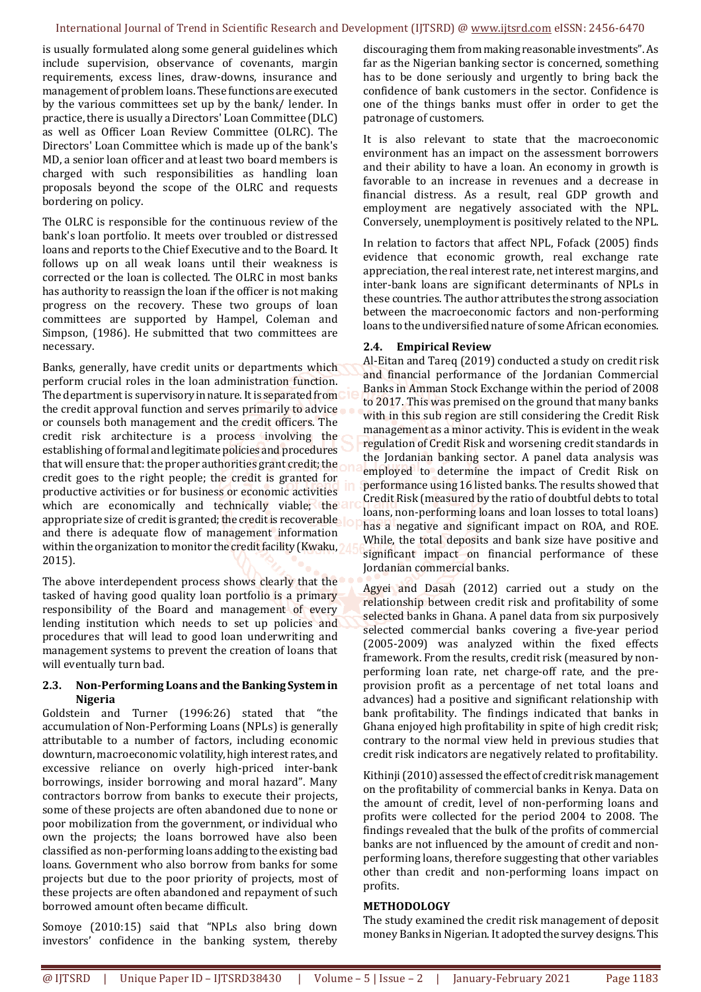#### International Journal of Trend in Scientific Research and Development (IJTSRD) @ www.ijtsrd.com eISSN: 2456-6470

is usually formulated along some general guidelines which include supervision, observance of covenants, margin requirements, excess lines, draw-downs, insurance and management of problem loans. These functions are executed by the various committees set up by the bank/ lender. In practice, there is usually a Directors' Loan Committee (DLC) as well as Officer Loan Review Committee (OLRC). The Directors' Loan Committee which is made up of the bank's MD, a senior loan officer and at least two board members is charged with such responsibilities as handling loan proposals beyond the scope of the OLRC and requests bordering on policy.

The OLRC is responsible for the continuous review of the bank's loan portfolio. It meets over troubled or distressed loans and reports to the Chief Executive and to the Board. It follows up on all weak loans until their weakness is corrected or the loan is collected. The OLRC in most banks has authority to reassign the loan if the officer is not making progress on the recovery. These two groups of loan committees are supported by Hampel, Coleman and Simpson, (1986). He submitted that two committees are necessary.

Banks, generally, have credit units or departments which perform crucial roles in the loan administration function. The department is supervisory in nature. It is separated from the credit approval function and serves primarily to advice or counsels both management and the credit officers. The credit risk architecture is a process involving the establishing of formal and legitimate policies and procedures that will ensure that: the proper authorities grant credit; the credit goes to the right people; the credit is granted for productive activities or for business or economic activities which are economically and technically viable; the appropriate size of credit is granted; the credit is recoverable and there is adequate flow of management information within the organization to monitor the credit facility (Kwaku, ) 2015).

The above interdependent process shows clearly that the tasked of having good quality loan portfolio is a primary responsibility of the Board and management of every lending institution which needs to set up policies and procedures that will lead to good loan underwriting and management systems to prevent the creation of loans that will eventually turn bad.

### **2.3. Non-Performing Loans and the Banking System in Nigeria**

Goldstein and Turner (1996:26) stated that "the accumulation of Non-Performing Loans (NPLs) is generally attributable to a number of factors, including economic downturn, macroeconomic volatility, high interest rates, and excessive reliance on overly high-priced inter-bank borrowings, insider borrowing and moral hazard". Many contractors borrow from banks to execute their projects, some of these projects are often abandoned due to none or poor mobilization from the government, or individual who own the projects; the loans borrowed have also been classified as non-performing loans adding to the existing bad loans. Government who also borrow from banks for some projects but due to the poor priority of projects, most of these projects are often abandoned and repayment of such borrowed amount often became difficult.

Somoye (2010:15) said that "NPLs also bring down investors' confidence in the banking system, thereby

discouraging them from making reasonable investments". As far as the Nigerian banking sector is concerned, something has to be done seriously and urgently to bring back the confidence of bank customers in the sector. Confidence is one of the things banks must offer in order to get the patronage of customers.

It is also relevant to state that the macroeconomic environment has an impact on the assessment borrowers and their ability to have a loan. An economy in growth is favorable to an increase in revenues and a decrease in financial distress. As a result, real GDP growth and employment are negatively associated with the NPL. Conversely, unemployment is positively related to the NPL.

In relation to factors that affect NPL, Fofack (2005) finds evidence that economic growth, real exchange rate appreciation, the real interest rate, net interest margins, and inter-bank loans are significant determinants of NPLs in these countries. The author attributes the strong association between the macroeconomic factors and non-performing loans to the undiversified nature of some African economies.

# **2.4. Empirical Review**

Al-Eitan and Tareq (2019) conducted a study on credit risk and financial performance of the Jordanian Commercial Banks in Amman Stock Exchange within the period of 2008 to 2017. This was premised on the ground that many banks with in this sub region are still considering the Credit Risk management as a minor activity. This is evident in the weak regulation of Credit Risk and worsening credit standards in the Jordanian banking sector. A panel data analysis was employed to determine the impact of Credit Risk on performance using 16 listed banks. The results showed that Credit Risk (measured by the ratio of doubtful debts to total loans, non-performing loans and loan losses to total loans) has a negative and significant impact on ROA, and ROE. While, the total deposits and bank size have positive and significant impact on financial performance of these Jordanian commercial banks.

Agyei and Dasah (2012) carried out a study on the relationship between credit risk and profitability of some selected banks in Ghana. A panel data from six purposively selected commercial banks covering a five-year period (2005-2009) was analyzed within the fixed effects framework. From the results, credit risk (measured by nonperforming loan rate, net charge-off rate, and the preprovision profit as a percentage of net total loans and advances) had a positive and significant relationship with bank profitability. The findings indicated that banks in Ghana enjoyed high profitability in spite of high credit risk; contrary to the normal view held in previous studies that credit risk indicators are negatively related to profitability.

Kithinji (2010) assessed the effect of credit risk management on the profitability of commercial banks in Kenya. Data on the amount of credit, level of non-performing loans and profits were collected for the period 2004 to 2008. The findings revealed that the bulk of the profits of commercial banks are not influenced by the amount of credit and nonperforming loans, therefore suggesting that other variables other than credit and non-performing loans impact on profits.

#### **METHODOLOGY**

The study examined the credit risk management of deposit money Banks in Nigerian. It adopted the survey designs. This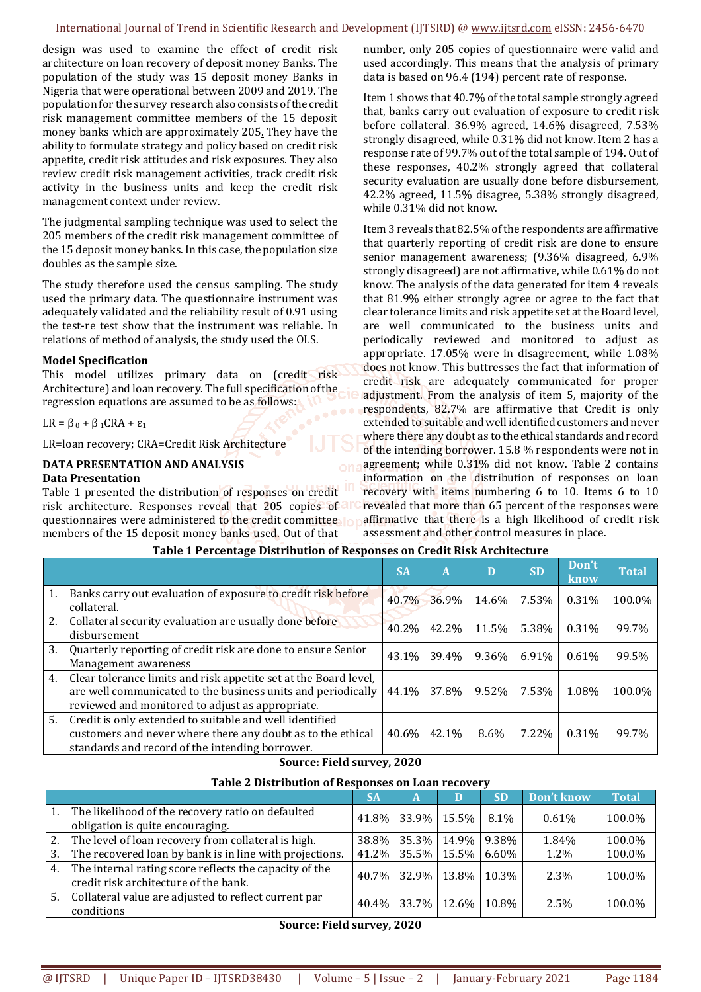#### International Journal of Trend in Scientific Research and Development (IJTSRD) @ www.ijtsrd.com eISSN: 2456-6470

design was used to examine the effect of credit risk architecture on loan recovery of deposit money Banks. The population of the study was 15 deposit money Banks in Nigeria that were operational between 2009 and 2019. The population for the survey research also consists of the credit risk management committee members of the 15 deposit money banks which are approximately 205. They have the ability to formulate strategy and policy based on credit risk appetite, credit risk attitudes and risk exposures. They also review credit risk management activities, track credit risk activity in the business units and keep the credit risk management context under review.

The judgmental sampling technique was used to select the 205 members of the credit risk management committee of the 15 deposit money banks. In this case, the population size doubles as the sample size.

The study therefore used the census sampling. The study used the primary data. The questionnaire instrument was adequately validated and the reliability result of 0.91 using the test-re test show that the instrument was reliable. In relations of method of analysis, the study used the OLS.

#### **Model Specification**

This model utilizes primary data on (credit risk Architecture) and loan recovery. The full specification of the regression equations are assumed to be as follows:

 $LR = \beta_0 + \beta_1 CRA + \epsilon_1$ 

LR=loan recovery; CRA=Credit Risk Architecture

#### **DATA PRESENTATION AND ANALYSIS Data Presentation**

Table 1 presented the distribution of responses on credit risk architecture. Responses reveal that 205 copies of an questionnaires were administered to the credit committee members of the 15 deposit money banks used. Out of that

number, only 205 copies of questionnaire were valid and used accordingly. This means that the analysis of primary data is based on 96.4 (194) percent rate of response.

Item 1 shows that 40.7% of the total sample strongly agreed that, banks carry out evaluation of exposure to credit risk before collateral. 36.9% agreed, 14.6% disagreed, 7.53% strongly disagreed, while 0.31% did not know. Item 2 has a response rate of 99.7% out of the total sample of 194. Out of these responses, 40.2% strongly agreed that collateral security evaluation are usually done before disbursement, 42.2% agreed, 11.5% disagree, 5.38% strongly disagreed, while 0.31% did not know.

Item 3 reveals that 82.5% of the respondents are affirmative that quarterly reporting of credit risk are done to ensure senior management awareness; (9.36% disagreed, 6.9% strongly disagreed) are not affirmative, while 0.61% do not know. The analysis of the data generated for item 4 reveals that 81.9% either strongly agree or agree to the fact that clear tolerance limits and risk appetite set at the Board level, are well communicated to the business units and periodically reviewed and monitored to adjust as appropriate. 17.05% were in disagreement, while 1.08% does not know. This buttresses the fact that information of credit risk are adequately communicated for proper adjustment. From the analysis of item 5, majority of the respondents, 82.7% are affirmative that Credit is only extended to suitable and well identified customers and never where there any doubt as to the ethical standards and record of the intending borrower. 15.8 % respondents were not in agreement; while 0.31% did not know. Table 2 contains information on the distribution of responses on loan recovery with items numbering 6 to 10. Items 6 to 10 revealed that more than 65 percent of the responses were affirmative that there is a high likelihood of credit risk assessment and other control measures in place.

|    |                                                                                                                                                                                      | <b>SA</b> | A     | D     | <b>SD</b> | Don't<br>know | <b>Total</b> |
|----|--------------------------------------------------------------------------------------------------------------------------------------------------------------------------------------|-----------|-------|-------|-----------|---------------|--------------|
| 1. | Banks carry out evaluation of exposure to credit risk before<br>collateral.                                                                                                          | 40.7%     | 36.9% | 14.6% | 7.53%     | 0.31%         | 100.0%       |
| 2. | Collateral security evaluation are usually done before<br>disbursement                                                                                                               | 40.2%     | 42.2% | 11.5% | 5.38%     | 0.31%         | 99.7%        |
| 3. | Quarterly reporting of credit risk are done to ensure Senior<br>Management awareness                                                                                                 | 43.1%     | 39.4% | 9.36% | 6.91%     | 0.61%         | 99.5%        |
| 4. | Clear tolerance limits and risk appetite set at the Board level,<br>are well communicated to the business units and periodically<br>reviewed and monitored to adjust as appropriate. | 44.1%     | 37.8% | 9.52% | 7.53%     | 1.08%         | 100.0%       |
| 5. | Credit is only extended to suitable and well identified<br>customers and never where there any doubt as to the ethical<br>standards and record of the intending borrower.            | 40.6%     | 42.1% | 8.6%  | 7.22%     | 0.31%         | 99.7%        |

# **Table 1 Percentage Distribution of Responses on Credit Risk Architecture**

**Source: Field survey, 2020** 

#### **Table 2 Distribution of Responses on Loan recovery**

|    |                                                                                                 | <b>SA</b> | A                 | D     | <b>SD</b> | Don't know | <b>Total</b> |
|----|-------------------------------------------------------------------------------------------------|-----------|-------------------|-------|-----------|------------|--------------|
| 1. | The likelihood of the recovery ratio on defaulted<br>obligation is quite encouraging.           |           | 41.8% 33.9%       | 15.5% | 8.1%      | 0.61%      | 100.0%       |
| 2. | The level of loan recovery from collateral is high.                                             |           | 38.8% 35.3%       | 14.9% | 9.38%     | 1.84%      | 100.0%       |
| 3. | The recovered loan by bank is in line with projections.                                         |           | 41.2% 35.5%       | 15.5% | 6.60%     | $1.2\%$    | 100.0%       |
| 4. | The internal rating score reflects the capacity of the<br>credit risk architecture of the bank. |           | 40.7% 32.9% 13.8% |       | 10.3%     | $2.3\%$    | 100.0%       |
| 5. | Collateral value are adjusted to reflect current par<br>conditions                              |           | 40.4% 33.7%       | 12.6% | 10.8%     | 2.5%       | 100.0%       |

#### **Source: Field survey, 2020**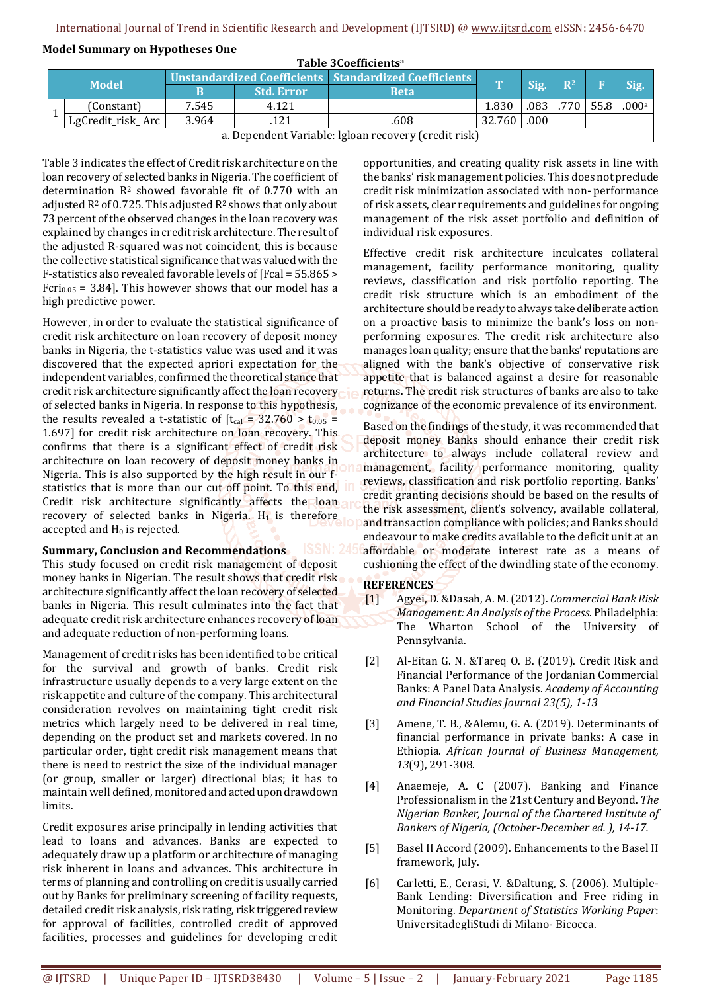#### **Model Summary on Hypotheses One**

| Table 3Coefficients <sup>a</sup> |                                                      |                                                         |                   |             |              |      |       |      |                   |  |
|----------------------------------|------------------------------------------------------|---------------------------------------------------------|-------------------|-------------|--------------|------|-------|------|-------------------|--|
| <b>Model</b>                     |                                                      | Unstandardized Coefficients   Standardized Coefficients |                   |             | $\mathbf{T}$ |      | $R^2$ |      |                   |  |
|                                  |                                                      |                                                         | <b>Std. Error</b> | <b>Beta</b> |              | Sig. |       |      | Sig.              |  |
|                                  | (Constant)                                           | 7.545                                                   | 4.121             |             | 1.830        | .083 | .770  | 55.8 | .000 <sup>a</sup> |  |
|                                  | LgCredit_risk_Arc                                    | 3.964                                                   | .121              | .608        | 32.760       | .000 |       |      |                   |  |
|                                  | a. Dependent Variable: Igloan recovery (credit risk) |                                                         |                   |             |              |      |       |      |                   |  |

Table 3 indicates the effect of Credit risk architecture on the loan recovery of selected banks in Nigeria. The coefficient of determination R2 showed favorable fit of 0.770 with an adjusted  $R^2$  of 0.725. This adjusted  $R^2$  shows that only about 73 percent of the observed changes in the loan recovery was explained by changes in credit risk architecture. The result of the adjusted R-squared was not coincident, this is because the collective statistical significance that was valued with the F-statistics also revealed favorable levels of [Fcal = 55.865 > Fcri<sub>0.05</sub> = 3.84]. This however shows that our model has a high predictive power.

However, in order to evaluate the statistical significance of credit risk architecture on loan recovery of deposit money banks in Nigeria, the t-statistics value was used and it was discovered that the expected apriori expectation for the independent variables, confirmed the theoretical stance that credit risk architecture significantly affect the loan recovery of selected banks in Nigeria. In response to this hypothesis, the results revealed a t-statistic of  $[t<sub>cal</sub>] = 32.760 > t<sub>0.05</sub> =$ 1.697] for credit risk architecture on loan recovery. This confirms that there is a significant effect of credit risk architecture on loan recovery of deposit money banks in Nigeria. This is also supported by the high result in our fstatistics that is more than our cut off point. To this end, Credit risk architecture significantly affects the loan recovery of selected banks in Nigeria.  $H_1$  is therefore accepted and  $H_0$  is rejected.

#### **Summary, Conclusion and Recommendations**

This study focused on credit risk management of deposit money banks in Nigerian. The result shows that credit risk architecture significantly affect the loan recovery of selected banks in Nigeria. This result culminates into the fact that adequate credit risk architecture enhances recovery of loan and adequate reduction of non-performing loans.

Management of credit risks has been identified to be critical for the survival and growth of banks. Credit risk infrastructure usually depends to a very large extent on the risk appetite and culture of the company. This architectural consideration revolves on maintaining tight credit risk metrics which largely need to be delivered in real time, depending on the product set and markets covered. In no particular order, tight credit risk management means that there is need to restrict the size of the individual manager (or group, smaller or larger) directional bias; it has to maintain well defined, monitored and acted upon drawdown limits.

Credit exposures arise principally in lending activities that lead to loans and advances. Banks are expected to adequately draw up a platform or architecture of managing risk inherent in loans and advances. This architecture in terms of planning and controlling on credit is usually carried out by Banks for preliminary screening of facility requests, detailed credit risk analysis, risk rating, risk triggered review for approval of facilities, controlled credit of approved facilities, processes and guidelines for developing credit

opportunities, and creating quality risk assets in line with the banks' risk management policies. This does not preclude credit risk minimization associated with non- performance of risk assets, clear requirements and guidelines for ongoing management of the risk asset portfolio and definition of individual risk exposures.

Effective credit risk architecture inculcates collateral management, facility performance monitoring, quality reviews, classification and risk portfolio reporting. The credit risk structure which is an embodiment of the architecture should be ready to always take deliberate action on a proactive basis to minimize the bank's loss on nonperforming exposures. The credit risk architecture also manages loan quality; ensure that the banks' reputations are aligned with the bank's objective of conservative risk appetite that is balanced against a desire for reasonable returns. The credit risk structures of banks are also to take cognizance of the economic prevalence of its environment.

Based on the findings of the study, it was recommended that deposit money Banks should enhance their credit risk architecture to always include collateral review and management, facility performance monitoring, quality reviews, classification and risk portfolio reporting. Banks' credit granting decisions should be based on the results of the risk assessment, client's solvency, available collateral, and transaction compliance with policies; and Banks should endeavour to make credits available to the deficit unit at an affordable or moderate interest rate as a means of cushioning the effect of the dwindling state of the economy.

#### **REFERENCES**

- [1] Agyei, D. &Dasah, A. M. (2012). *Commercial Bank Risk Management: An Analysis of the Process*. Philadelphia: The Wharton School of the University of Pennsylvania.
- [2] Al-Eitan G. N. &Tareq O. B. (2019). Credit Risk and Financial Performance of the Jordanian Commercial Banks: A Panel Data Analysis. *Academy of Accounting and Financial Studies Journal 23(5), 1-13*
- [3] Amene, T. B., &Alemu, G. A. (2019). Determinants of financial performance in private banks: A case in Ethiopia. *African Journal of Business Management, 13*(9), 291-308.
- [4] Anaemeje, A. C (2007). Banking and Finance Professionalism in the 21st Century and Beyond. *The Nigerian Banker, Journal of the Chartered Institute of Bankers of Nigeria, (October-December ed. ), 14-17.*
- [5] Basel II Accord (2009). Enhancements to the Basel II framework, July.
- [6] Carletti, E., Cerasi, V. &Daltung, S. (2006). Multiple-Bank Lending: Diversification and Free riding in Monitoring. *Department of Statistics Working Paper*: UniversitadegliStudi di Milano- Bicocca.